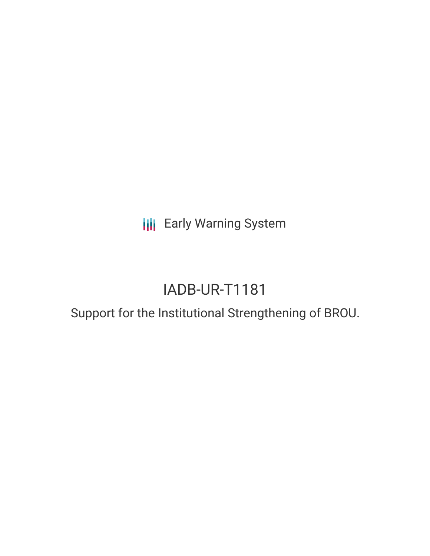**III** Early Warning System

# IADB-UR-T1181

# Support for the Institutional Strengthening of BROU.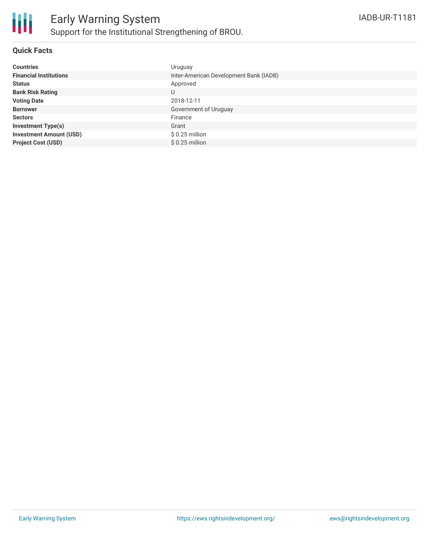

### **Quick Facts**

| <b>Countries</b>               | Uruguay                                |
|--------------------------------|----------------------------------------|
| <b>Financial Institutions</b>  | Inter-American Development Bank (IADB) |
| <b>Status</b>                  | Approved                               |
| <b>Bank Risk Rating</b>        | U                                      |
| <b>Voting Date</b>             | 2018-12-11                             |
| <b>Borrower</b>                | Government of Uruguay                  |
| <b>Sectors</b>                 | Finance                                |
| <b>Investment Type(s)</b>      | Grant                                  |
| <b>Investment Amount (USD)</b> | $$0.25$ million                        |
| <b>Project Cost (USD)</b>      | $$0.25$ million                        |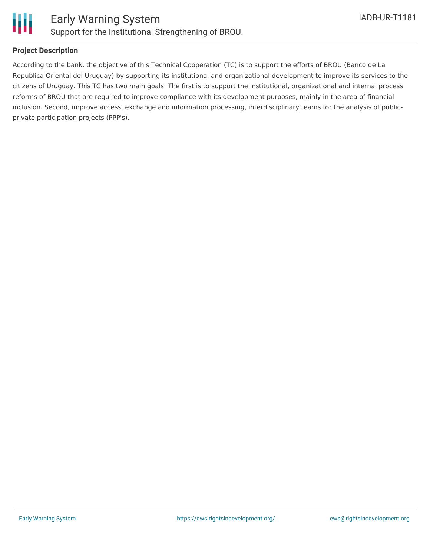

## **Project Description**

According to the bank, the objective of this Technical Cooperation (TC) is to support the efforts of BROU (Banco de La Republica Oriental del Uruguay) by supporting its institutional and organizational development to improve its services to the citizens of Uruguay. This TC has two main goals. The first is to support the institutional, organizational and internal process reforms of BROU that are required to improve compliance with its development purposes, mainly in the area of financial inclusion. Second, improve access, exchange and information processing, interdisciplinary teams for the analysis of publicprivate participation projects (PPP's).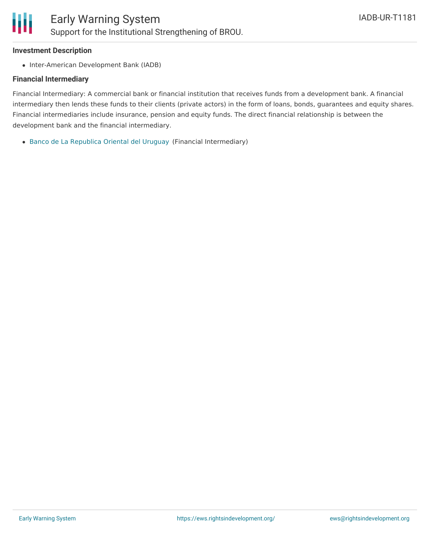#### **Investment Description**

• Inter-American Development Bank (IADB)

#### **Financial Intermediary**

Financial Intermediary: A commercial bank or financial institution that receives funds from a development bank. A financial intermediary then lends these funds to their clients (private actors) in the form of loans, bonds, guarantees and equity shares. Financial intermediaries include insurance, pension and equity funds. The direct financial relationship is between the development bank and the financial intermediary.

Banco de La [Republica](file:///actor/1695/) Oriental del Uruguay (Financial Intermediary)